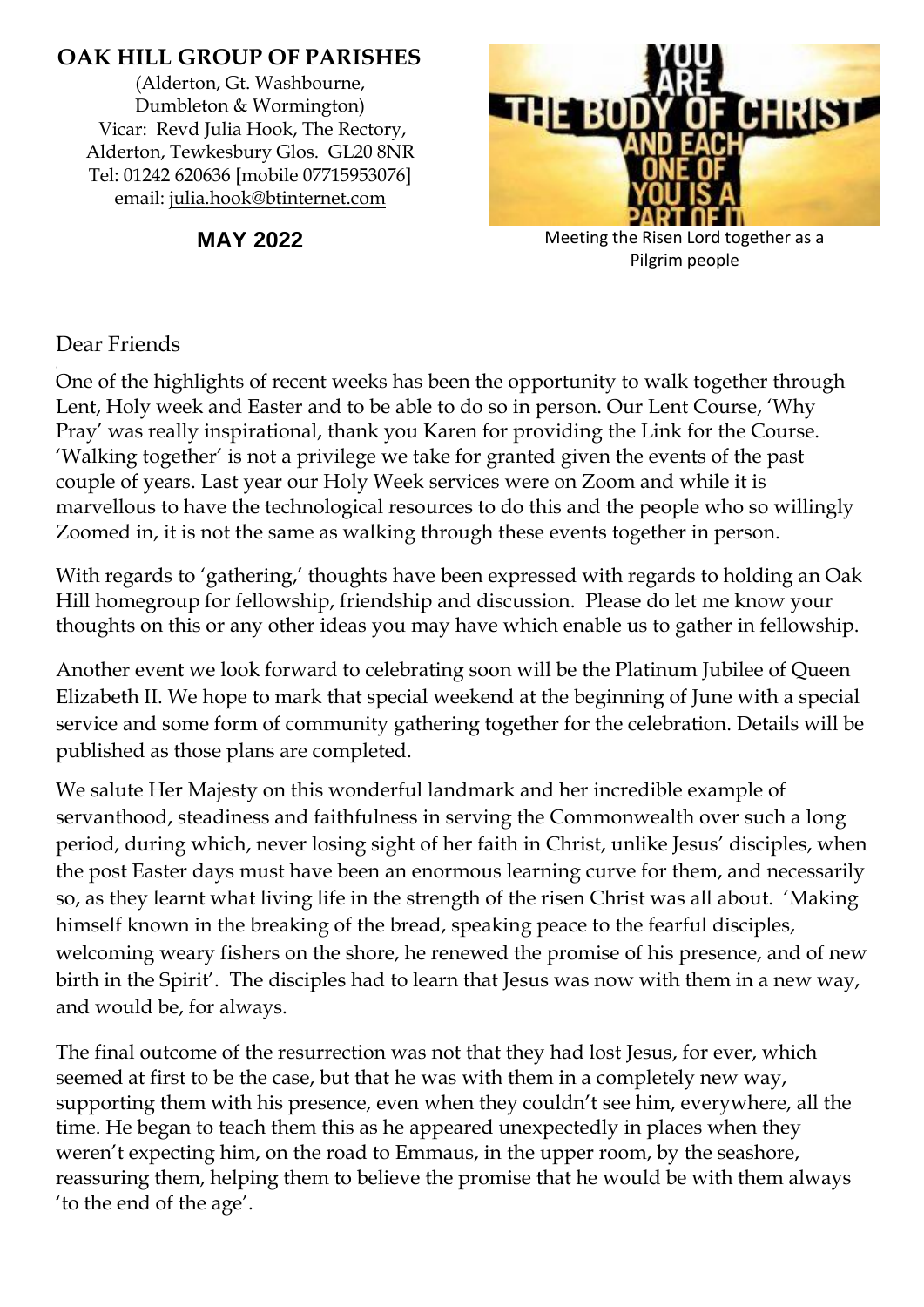# **OAK HILL GROUP OF PARISHES**

(Alderton, Gt. Washbourne, Dumbleton & Wormington) Vicar: Revd Julia Hook, The Rectory, Alderton, Tewkesbury Glos. GL20 8NR Tel: 01242 620636 [mobile 07715953076] email: [julia.hook@btinternet.com](mailto:julia.hook@btinternet.com)



**MAY 2022** Meeting the Risen Lord together as a Pilgrim people

### Dear Friends

One of the highlights of recent weeks has been the opportunity to walk together through Lent, Holy week and Easter and to be able to do so in person. Our Lent Course, 'Why Pray' was really inspirational, thank you Karen for providing the Link for the Course. 'Walking together' is not a privilege we take for granted given the events of the past couple of years. Last year our Holy Week services were on Zoom and while it is marvellous to have the technological resources to do this and the people who so willingly Zoomed in, it is not the same as walking through these events together in person.

With regards to 'gathering,' thoughts have been expressed with regards to holding an Oak Hill homegroup for fellowship, friendship and discussion. Please do let me know your thoughts on this or any other ideas you may have which enable us to gather in fellowship.

Another event we look forward to celebrating soon will be the Platinum Jubilee of Queen Elizabeth II. We hope to mark that special weekend at the beginning of June with a special service and some form of community gathering together for the celebration. Details will be published as those plans are completed.

We salute Her Majesty on this wonderful landmark and her incredible example of servanthood, steadiness and faithfulness in serving the Commonwealth over such a long period, during which, never losing sight of her faith in Christ, unlike Jesus' disciples, when the post Easter days must have been an enormous learning curve for them, and necessarily so, as they learnt what living life in the strength of the risen Christ was all about. 'Making himself known in the breaking of the bread, speaking peace to the fearful disciples, welcoming weary fishers on the shore, he renewed the promise of his presence, and of new birth in the Spirit'. The disciples had to learn that Jesus was now with them in a new way, and would be, for always.

The final outcome of the resurrection was not that they had lost Jesus, for ever, which seemed at first to be the case, but that he was with them in a completely new way, supporting them with his presence, even when they couldn't see him, everywhere, all the time. He began to teach them this as he appeared unexpectedly in places when they weren't expecting him, on the road to Emmaus, in the upper room, by the seashore, reassuring them, helping them to believe the promise that he would be with them always 'to the end of the age'.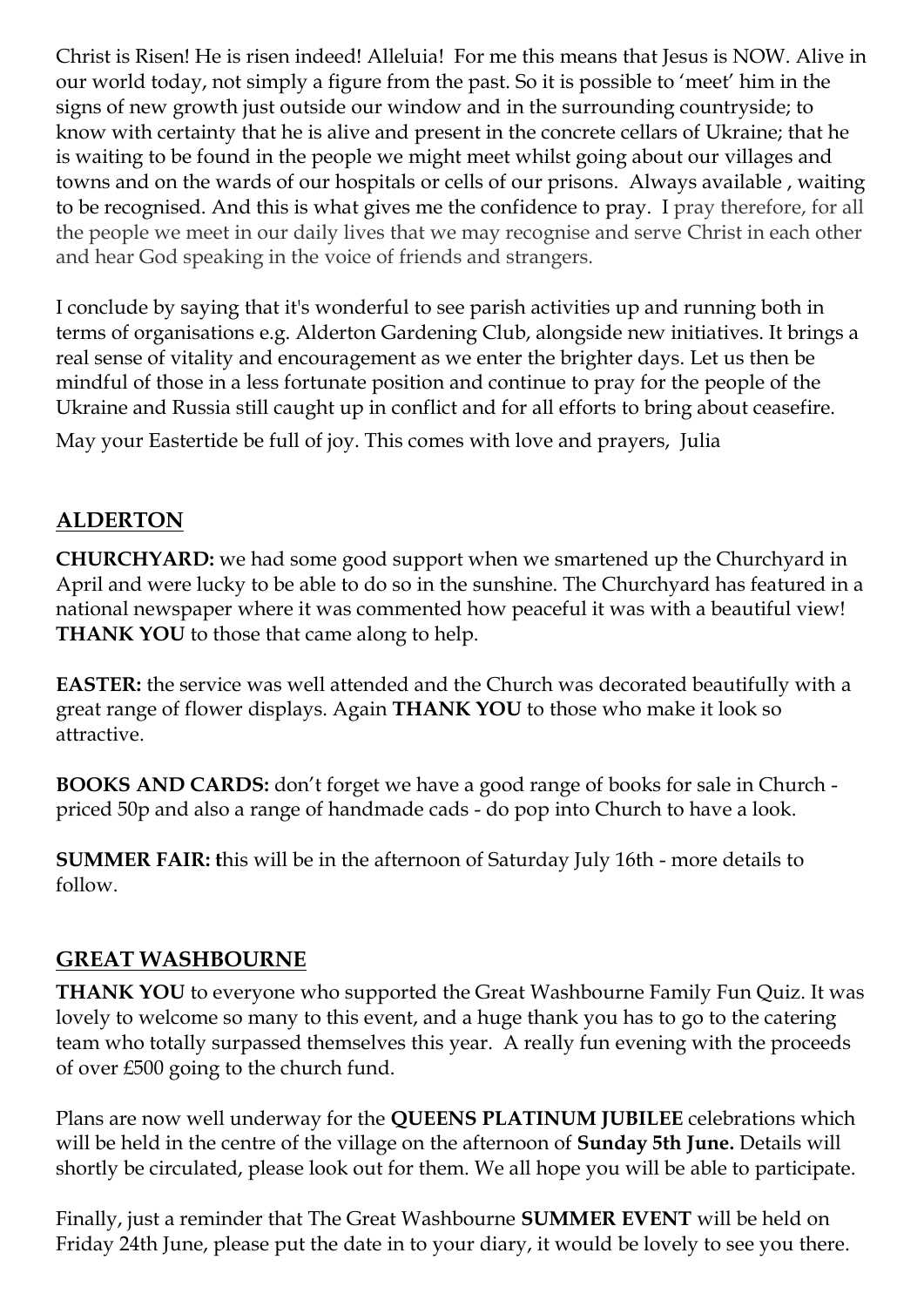Christ is Risen! He is risen indeed! Alleluia! For me this means that Jesus is NOW. Alive in our world today, not simply a figure from the past. So it is possible to 'meet' him in the signs of new growth just outside our window and in the surrounding countryside; to know with certainty that he is alive and present in the concrete cellars of Ukraine; that he is waiting to be found in the people we might meet whilst going about our villages and towns and on the wards of our hospitals or cells of our prisons. Always available , waiting to be recognised. And this is what gives me the confidence to pray. I pray therefore, for all the people we meet in our daily lives that we may recognise and serve Christ in each other and hear God speaking in the voice of friends and strangers.

I conclude by saying that it's wonderful to see parish activities up and running both in terms of organisations e.g. Alderton Gardening Club, alongside new initiatives. It brings a real sense of vitality and encouragement as we enter the brighter days. Let us then be mindful of those in a less fortunate position and continue to pray for the people of the Ukraine and Russia still caught up in conflict and for all efforts to bring about ceasefire. May your Eastertide be full of joy. This comes with love and prayers, Julia

# **ALDERTON**

**CHURCHYARD:** we had some good support when we smartened up the Churchyard in April and were lucky to be able to do so in the sunshine. The Churchyard has featured in a national newspaper where it was commented how peaceful it was with a beautiful view! **THANK YOU** to those that came along to help.

**EASTER:** the service was well attended and the Church was decorated beautifully with a great range of flower displays. Again **THANK YOU** to those who make it look so attractive.

**BOOKS AND CARDS:** don't forget we have a good range of books for sale in Church priced 50p and also a range of handmade cads - do pop into Church to have a look.

**SUMMER FAIR: t**his will be in the afternoon of Saturday July 16th - more details to follow.

### **GREAT WASHBOURNE**

**THANK YOU** to everyone who supported the Great Washbourne Family Fun Quiz. It was lovely to welcome so many to this event, and a huge thank you has to go to the catering team who totally surpassed themselves this year. A really fun evening with the proceeds of over £500 going to the church fund.

Plans are now well underway for the **QUEENS PLATINUM JUBILEE** celebrations which will be held in the centre of the village on the afternoon of **Sunday 5th June.** Details will shortly be circulated, please look out for them. We all hope you will be able to participate.

Finally, just a reminder that The Great Washbourne **SUMMER EVENT** will be held on Friday 24th June, please put the date in to your diary, it would be lovely to see you there.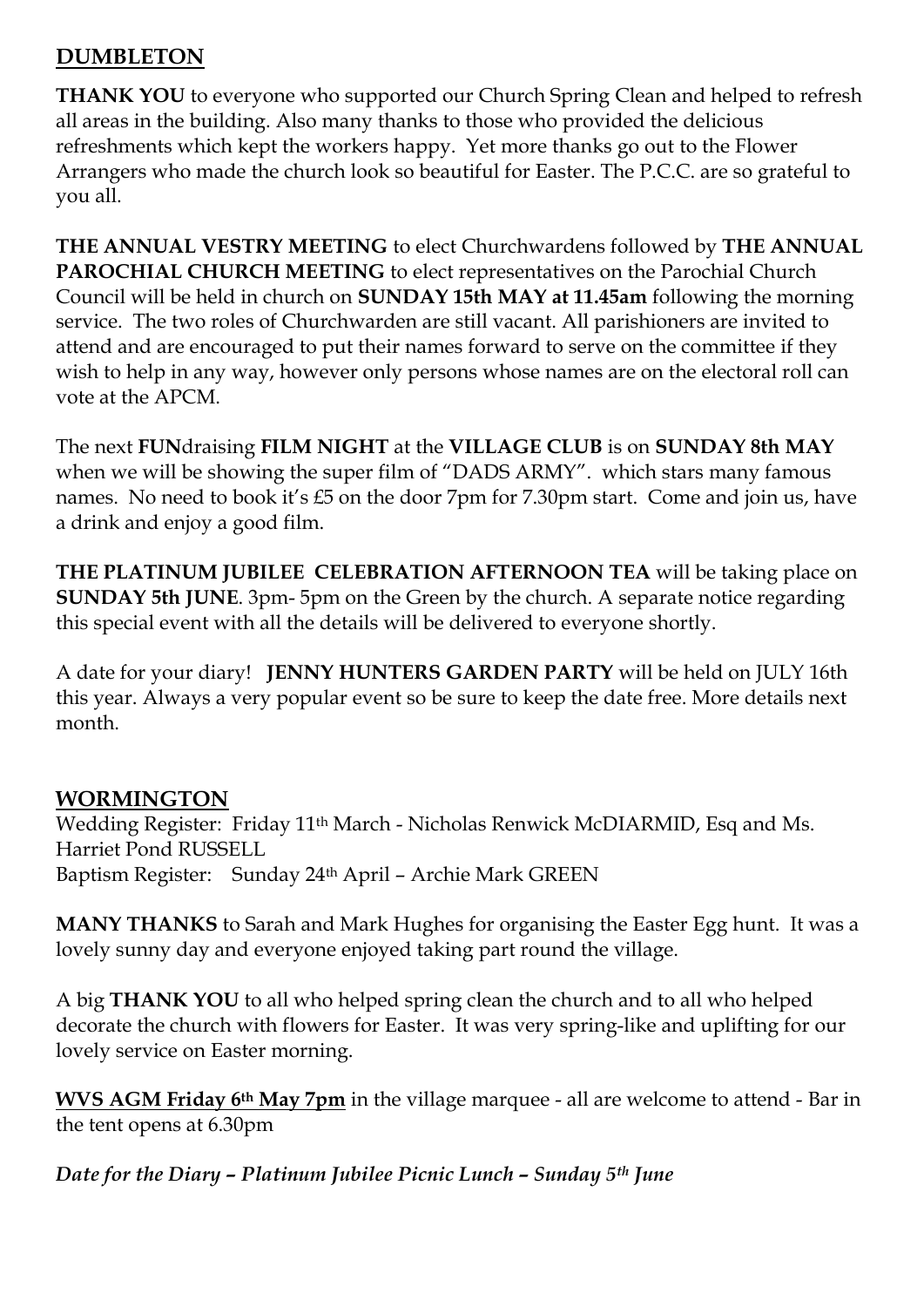### **DUMBLETON**

**THANK YOU** to everyone who supported our Church Spring Clean and helped to refresh all areas in the building. Also many thanks to those who provided the delicious refreshments which kept the workers happy. Yet more thanks go out to the Flower Arrangers who made the church look so beautiful for Easter. The P.C.C. are so grateful to you all.

**THE ANNUAL VESTRY MEETING** to elect Churchwardens followed by **THE ANNUAL PAROCHIAL CHURCH MEETING** to elect representatives on the Parochial Church Council will be held in church on **SUNDAY 15th MAY at 11.45am** following the morning service. The two roles of Churchwarden are still vacant. All parishioners are invited to attend and are encouraged to put their names forward to serve on the committee if they wish to help in any way, however only persons whose names are on the electoral roll can vote at the APCM.

The next **FUN**draising **FILM NIGHT** at the **VILLAGE CLUB** is on **SUNDAY 8th MAY** when we will be showing the super film of "DADS ARMY". which stars many famous names. No need to book it's £5 on the door 7pm for 7.30pm start. Come and join us, have a drink and enjoy a good film.

**THE PLATINUM JUBILEE CELEBRATION AFTERNOON TEA** will be taking place on **SUNDAY 5th JUNE**. 3pm- 5pm on the Green by the church. A separate notice regarding this special event with all the details will be delivered to everyone shortly.

A date for your diary! **JENNY HUNTERS GARDEN PARTY** will be held on JULY 16th this year. Always a very popular event so be sure to keep the date free. More details next month.

### **WORMINGTON**

Wedding Register: Friday 11th March - Nicholas Renwick McDIARMID, Esq and Ms. Harriet Pond RUSSELL Baptism Register: Sunday 24th April – Archie Mark GREEN

**MANY THANKS** to Sarah and Mark Hughes for organising the Easter Egg hunt. It was a lovely sunny day and everyone enjoyed taking part round the village.

A big **THANK YOU** to all who helped spring clean the church and to all who helped decorate the church with flowers for Easter. It was very spring-like and uplifting for our lovely service on Easter morning.

**WVS AGM Friday 6th May 7pm** in the village marquee - all are welcome to attend - Bar in the tent opens at 6.30pm

*Date for the Diary – Platinum Jubilee Picnic Lunch – Sunday 5 th June*